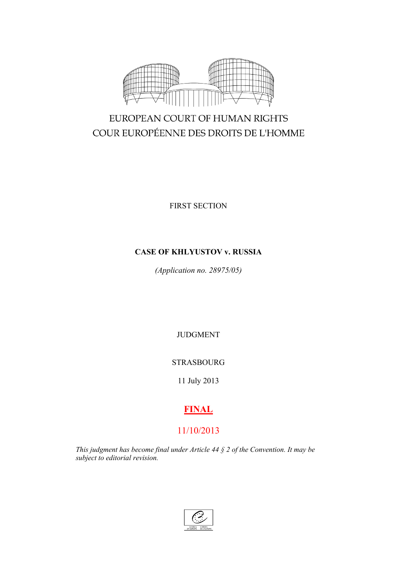

# EUROPEAN COURT OF HUMAN RIGHTS COUR EUROPÉENNE DES DROITS DE L'HOMME

FIRST SECTION

## **CASE OF KHLYUSTOV v. RUSSIA**

*(Application no. 28975/05)*

JUDGMENT

STRASBOURG

11 July 2013

## **FINAL**

## 11/10/2013

*This judgment has become final under Article 44 § 2 of the Convention. It may be subject to editorial revision.*

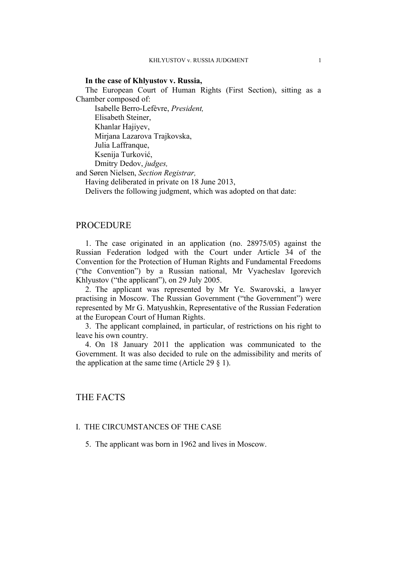## **In the case of Khlyustov v. Russia,**

The European Court of Human Rights (First Section), sitting as a Chamber composed of:

Isabelle Berro-Lefèvre, *President,* Elisabeth Steiner, Khanlar Hajiyev, Mirjana Lazarova Trajkovska, Julia Laffranque, Ksenija Turković, Dmitry Dedov, *judges,*

and Søren Nielsen, *Section Registrar,*

Having deliberated in private on 18 June 2013,

Delivers the following judgment, which was adopted on that date:

## **PROCEDURE**

1. The case originated in an application (no. 28975/05) against the Russian Federation lodged with the Court under Article 34 of the Convention for the Protection of Human Rights and Fundamental Freedoms ("the Convention") by a Russian national, Mr Vyacheslav Igorevich Khlyustov ("the applicant"), on 29 July 2005.

2. The applicant was represented by Mr Ye. Swarovski, a lawyer practising in Moscow. The Russian Government ("the Government") were represented by Mr G. Matyushkin, Representative of the Russian Federation at the European Court of Human Rights.

3. The applicant complained, in particular, of restrictions on his right to leave his own country.

4. On 18 January 2011 the application was communicated to the Government. It was also decided to rule on the admissibility and merits of the application at the same time (Article 29  $\S$  1).

## THE FACTS

## I. THE CIRCUMSTANCES OF THE CASE

5. The applicant was born in 1962 and lives in Moscow.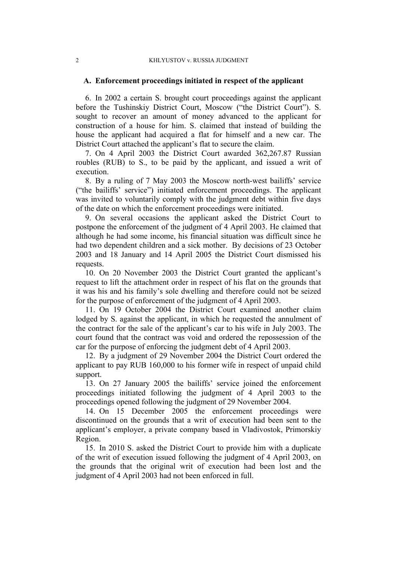## **A. Enforcement proceedings initiated in respect of the applicant**

6. In 2002 a certain S. brought court proceedings against the applicant before the Tushinskiy District Court, Moscow ("the District Court"). S. sought to recover an amount of money advanced to the applicant for construction of a house for him. S. claimed that instead of building the house the applicant had acquired a flat for himself and a new car. The District Court attached the applicant's flat to secure the claim.

7. On 4 April 2003 the District Court awarded 362,267.87 Russian roubles (RUB) to S., to be paid by the applicant, and issued a writ of execution.

8. By a ruling of 7 May 2003 the Moscow north-west bailiffs' service ("the bailiffs' service") initiated enforcement proceedings. The applicant was invited to voluntarily comply with the judgment debt within five days of the date on which the enforcement proceedings were initiated.

9. On several occasions the applicant asked the District Court to postpone the enforcement of the judgment of 4 April 2003. He claimed that although he had some income, his financial situation was difficult since he had two dependent children and a sick mother. By decisions of 23 October 2003 and 18 January and 14 April 2005 the District Court dismissed his requests.

10. On 20 November 2003 the District Court granted the applicant's request to lift the attachment order in respect of his flat on the grounds that it was his and his family's sole dwelling and therefore could not be seized for the purpose of enforcement of the judgment of 4 April 2003.

<span id="page-3-1"></span>11. On 19 October 2004 the District Court examined another claim lodged by S. against the applicant, in which he requested the annulment of the contract for the sale of the applicant's car to his wife in July 2003. The court found that the contract was void and ordered the repossession of the car for the purpose of enforcing the judgment debt of 4 April 2003.

12. By a judgment of 29 November 2004 the District Court ordered the applicant to pay RUB 160,000 to his former wife in respect of unpaid child support.

13. On 27 January 2005 the bailiffs' service joined the enforcement proceedings initiated following the judgment of 4 April 2003 to the proceedings opened following the judgment of 29 November 2004.

<span id="page-3-0"></span>14. On 15 December 2005 the enforcement proceedings were discontinued on the grounds that a writ of execution had been sent to the applicant's employer, a private company based in Vladivostok, Primorskiy Region.

15. In 2010 S. asked the District Court to provide him with a duplicate of the writ of execution issued following the judgment of 4 April 2003, on the grounds that the original writ of execution had been lost and the judgment of 4 April 2003 had not been enforced in full.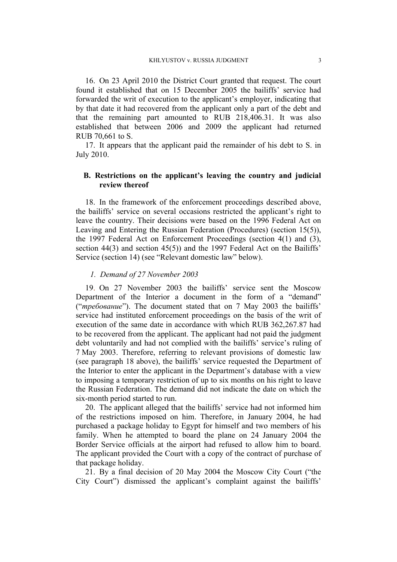16. On 23 April 2010 the District Court granted that request. The court found it established that on 15 December 2005 the bailiffs' service had forwarded the writ of execution to the applicant's employer, indicating that by that date it had recovered from the applicant only a part of the debt and that the remaining part amounted to RUB 218,406.31. It was also established that between 2006 and 2009 the applicant had returned RUB 70,661 to S.

17. It appears that the applicant paid the remainder of his debt to S. in July 2010.

## **B. Restrictions on the applicant's leaving the country and judicial review thereof**

<span id="page-4-0"></span>18. In the framework of the enforcement proceedings described above, the bailiffs' service on several occasions restricted the applicant's right to leave the country. Their decisions were based on the 1996 Federal Act on Leaving and Entering the Russian Federation (Procedures) (section 15(5)), the 1997 Federal Act on Enforcement Proceedings (section 4(1) and (3), section 44(3) and section 45(5)) and the 1997 Federal Act on the Bailiffs' Service (section 14) (see "Relevant domestic law" below).

## *1. Demand of 27 November 2003*

19. On 27 November 2003 the bailiffs' service sent the Moscow Department of the Interior a document in the form of a "demand" ("*требование*"). The document stated that on 7 May 2003 the bailiffs' service had instituted enforcement proceedings on the basis of the writ of execution of the same date in accordance with which RUB 362,267.87 had to be recovered from the applicant. The applicant had not paid the judgment debt voluntarily and had not complied with the bailiffs' service's ruling of 7 May 2003. Therefore, referring to relevant provisions of domestic law (see paragraph [18](#page-4-0) above), the bailiffs' service requested the Department of the Interior to enter the applicant in the Department's database with a view to imposing a temporary restriction of up to six months on his right to leave the Russian Federation. The demand did not indicate the date on which the six-month period started to run.

<span id="page-4-1"></span>20. The applicant alleged that the bailiffs' service had not informed him of the restrictions imposed on him. Therefore, in January 2004, he had purchased a package holiday to Egypt for himself and two members of his family. When he attempted to board the plane on 24 January 2004 the Border Service officials at the airport had refused to allow him to board. The applicant provided the Court with a copy of the contract of purchase of that package holiday.

21. By a final decision of 20 May 2004 the Moscow City Court ("the City Court") dismissed the applicant's complaint against the bailiffs'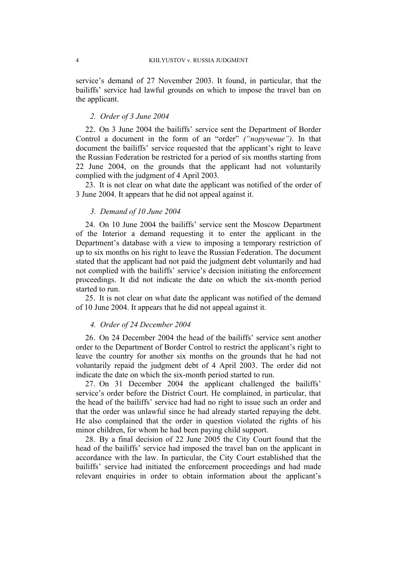service's demand of 27 November 2003. It found, in particular, that the bailiffs' service had lawful grounds on which to impose the travel ban on the applicant.

#### *2. Order of 3 June 2004*

22. On 3 June 2004 the bailiffs' service sent the Department of Border Control a document in the form of an "order" *("поручение")*. In that document the bailiffs' service requested that the applicant's right to leave the Russian Federation be restricted for a period of six months starting from 22 June 2004, on the grounds that the applicant had not voluntarily complied with the judgment of 4 April 2003.

23. It is not clear on what date the applicant was notified of the order of 3 June 2004. It appears that he did not appeal against it.

#### *3. Demand of 10 June 2004*

24. On 10 June 2004 the bailiffs' service sent the Moscow Department of the Interior a demand requesting it to enter the applicant in the Department's database with a view to imposing a temporary restriction of up to six months on his right to leave the Russian Federation. The document stated that the applicant had not paid the judgment debt voluntarily and had not complied with the bailiffs' service's decision initiating the enforcement proceedings. It did not indicate the date on which the six-month period started to run.

25. It is not clear on what date the applicant was notified of the demand of 10 June 2004. It appears that he did not appeal against it.

## *4. Order of 24 December 2004*

26. On 24 December 2004 the head of the bailiffs' service sent another order to the Department of Border Control to restrict the applicant's right to leave the country for another six months on the grounds that he had not voluntarily repaid the judgment debt of 4 April 2003. The order did not indicate the date on which the six-month period started to run.

27. On 31 December 2004 the applicant challenged the bailiffs' service's order before the District Court. He complained, in particular, that the head of the bailiffs' service had had no right to issue such an order and that the order was unlawful since he had already started repaying the debt. He also complained that the order in question violated the rights of his minor children, for whom he had been paying child support.

28. By a final decision of 22 June 2005 the City Court found that the head of the bailiffs' service had imposed the travel ban on the applicant in accordance with the law. In particular, the City Court established that the bailiffs' service had initiated the enforcement proceedings and had made relevant enquiries in order to obtain information about the applicant's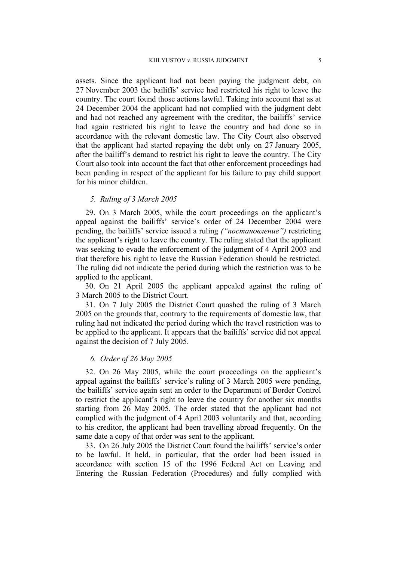assets. Since the applicant had not been paying the judgment debt, on 27 November 2003 the bailiffs' service had restricted his right to leave the country. The court found those actions lawful. Taking into account that as at 24 December 2004 the applicant had not complied with the judgment debt and had not reached any agreement with the creditor, the bailiffs' service had again restricted his right to leave the country and had done so in accordance with the relevant domestic law. The City Court also observed that the applicant had started repaying the debt only on 27 January 2005, after the bailiff's demand to restrict his right to leave the country. The City Court also took into account the fact that other enforcement proceedings had been pending in respect of the applicant for his failure to pay child support for his minor children.

## *5. Ruling of 3 March 2005*

29. On 3 March 2005, while the court proceedings on the applicant's appeal against the bailiffs' service's order of 24 December 2004 were pending, the bailiffs' service issued a ruling *("постановление")* restricting the applicant's right to leave the country. The ruling stated that the applicant was seeking to evade the enforcement of the judgment of 4 April 2003 and that therefore his right to leave the Russian Federation should be restricted. The ruling did not indicate the period during which the restriction was to be applied to the applicant.

30. On 21 April 2005 the applicant appealed against the ruling of 3 March 2005 to the District Court.

31. On 7 July 2005 the District Court quashed the ruling of 3 March 2005 on the grounds that, contrary to the requirements of domestic law, that ruling had not indicated the period during which the travel restriction was to be applied to the applicant. It appears that the bailiffs' service did not appeal against the decision of 7 July 2005.

## *6. Order of 26 May 2005*

32. On 26 May 2005, while the court proceedings on the applicant's appeal against the bailiffs' service's ruling of 3 March 2005 were pending, the bailiffs' service again sent an order to the Department of Border Control to restrict the applicant's right to leave the country for another six months starting from 26 May 2005. The order stated that the applicant had not complied with the judgment of 4 April 2003 voluntarily and that, according to his creditor, the applicant had been travelling abroad frequently. On the same date a copy of that order was sent to the applicant.

33. On 26 July 2005 the District Court found the bailiffs' service's order to be lawful. It held, in particular, that the order had been issued in accordance with section 15 of the 1996 Federal Act on Leaving and Entering the Russian Federation (Procedures) and fully complied with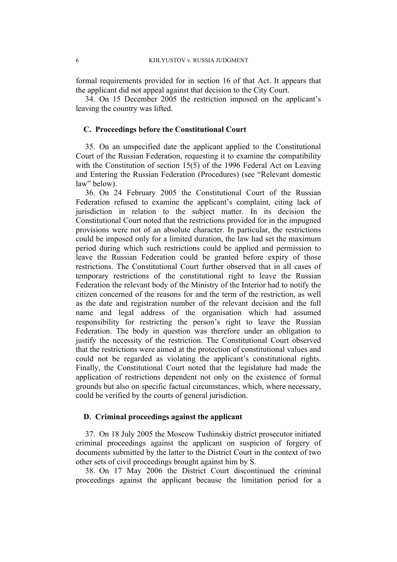formal requirements provided for in section 16 of that Act. It appears that the applicant did not appeal against that decision to the City Court.

34. On 15 December 2005 the restriction imposed on the applicant's leaving the country was lifted.

#### **C. Proceedings before the Constitutional Court**

35. On an unspecified date the applicant applied to the Constitutional Court of the Russian Federation, requesting it to examine the compatibility with the Constitution of section 15(5) of the 1996 Federal Act on Leaving and Entering the Russian Federation (Procedures) (see "Relevant domestic law" below).

<span id="page-7-0"></span>36. On 24 February 2005 the Constitutional Court of the Russian Federation refused to examine the applicant's complaint, citing lack of jurisdiction in relation to the subject matter. In its decision the Constitutional Court noted that the restrictions provided for in the impugned provisions were not of an absolute character. In particular, the restrictions could be imposed only for a limited duration, the law had set the maximum period during which such restrictions could be applied and permission to leave the Russian Federation could be granted before expiry of those restrictions. The Constitutional Court further observed that in all cases of temporary restrictions of the constitutional right to leave the Russian Federation the relevant body of the Ministry of the Interior had to notify the citizen concerned of the reasons for and the term of the restriction, as well as the date and registration number of the relevant decision and the full name and legal address of the organisation which had assumed responsibility for restricting the person's right to leave the Russian Federation. The body in question was therefore under an obligation to justify the necessity of the restriction. The Constitutional Court observed that the restrictions were aimed at the protection of constitutional values and could not be regarded as violating the applicant's constitutional rights. Finally, the Constitutional Court noted that the legislature had made the application of restrictions dependent not only on the existence of formal grounds but also on specific factual circumstances, which, where necessary, could be verified by the courts of general jurisdiction.

## **D. Criminal proceedings against the applicant**

37. On 18 July 2005 the Moscow Tushinskiy district prosecutor initiated criminal proceedings against the applicant on suspicion of forgery of documents submitted by the latter to the District Court in the context of two other sets of civil proceedings brought against him by S.

38. On 17 May 2006 the District Court discontinued the criminal proceedings against the applicant because the limitation period for a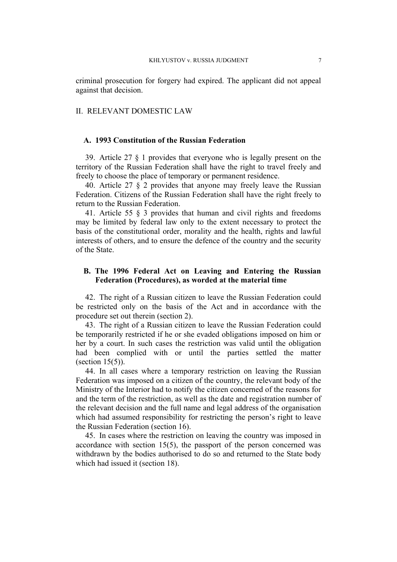criminal prosecution for forgery had expired. The applicant did not appeal against that decision.

#### II. RELEVANT DOMESTIC LAW

#### **A. 1993 Constitution of the Russian Federation**

39. Article 27 § 1 provides that everyone who is legally present on the territory of the Russian Federation shall have the right to travel freely and freely to choose the place of temporary or permanent residence.

40. Article 27 § 2 provides that anyone may freely leave the Russian Federation. Citizens of the Russian Federation shall have the right freely to return to the Russian Federation.

41. Article 55 § 3 provides that human and civil rights and freedoms may be limited by federal law only to the extent necessary to protect the basis of the constitutional order, morality and the health, rights and lawful interests of others, and to ensure the defence of the country and the security of the State.

## **B. The 1996 Federal Act on Leaving and Entering the Russian Federation (Procedures), as worded at the material time**

42. The right of a Russian citizen to leave the Russian Federation could be restricted only on the basis of the Act and in accordance with the procedure set out therein (section 2).

43. The right of a Russian citizen to leave the Russian Federation could be temporarily restricted if he or she evaded obligations imposed on him or her by a court. In such cases the restriction was valid until the obligation had been complied with or until the parties settled the matter  $(section 15(5))$ .

44. In all cases where a temporary restriction on leaving the Russian Federation was imposed on a citizen of the country, the relevant body of the Ministry of the Interior had to notify the citizen concerned of the reasons for and the term of the restriction, as well as the date and registration number of the relevant decision and the full name and legal address of the organisation which had assumed responsibility for restricting the person's right to leave the Russian Federation (section 16).

45. In cases where the restriction on leaving the country was imposed in accordance with section 15(5), the passport of the person concerned was withdrawn by the bodies authorised to do so and returned to the State body which had issued it (section 18).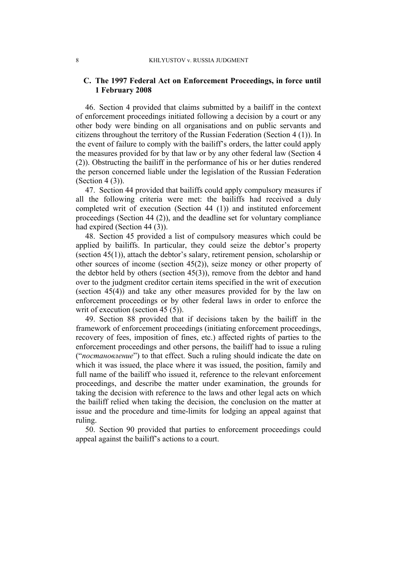## **C. The 1997 Federal Act on Enforcement Proceedings, in force until 1 February 2008**

46. Section 4 provided that claims submitted by a bailiff in the context of enforcement proceedings initiated following a decision by a court or any other body were binding on all organisations and on public servants and citizens throughout the territory of the Russian Federation (Section 4 (1)). In the event of failure to comply with the bailiff's orders, the latter could apply the measures provided for by that law or by any other federal law (Section 4 (2)). Obstructing the bailiff in the performance of his or her duties rendered the person concerned liable under the legislation of the Russian Federation (Section 4 (3)).

47. Section 44 provided that bailiffs could apply compulsory measures if all the following criteria were met: the bailiffs had received a duly completed writ of execution (Section 44 (1)) and instituted enforcement proceedings (Section 44 (2)), and the deadline set for voluntary compliance had expired (Section 44 (3)).

48. Section 45 provided a list of compulsory measures which could be applied by bailiffs. In particular, they could seize the debtor's property (section 45(1)), attach the debtor's salary, retirement pension, scholarship or other sources of income (section 45(2)), seize money or other property of the debtor held by others (section 45(3)), remove from the debtor and hand over to the judgment creditor certain items specified in the writ of execution (section 45(4)) and take any other measures provided for by the law on enforcement proceedings or by other federal laws in order to enforce the writ of execution (section 45 (5)).

<span id="page-9-1"></span>49. Section 88 provided that if decisions taken by the bailiff in the framework of enforcement proceedings (initiating enforcement proceedings, recovery of fees, imposition of fines, etc.) affected rights of parties to the enforcement proceedings and other persons, the bailiff had to issue a ruling ("*постановление*") to that effect. Such a ruling should indicate the date on which it was issued, the place where it was issued, the position, family and full name of the bailiff who issued it, reference to the relevant enforcement proceedings, and describe the matter under examination, the grounds for taking the decision with reference to the laws and other legal acts on which the bailiff relied when taking the decision, the conclusion on the matter at issue and the procedure and time-limits for lodging an appeal against that ruling.

<span id="page-9-0"></span>50. Section 90 provided that parties to enforcement proceedings could appeal against the bailiff's actions to a court.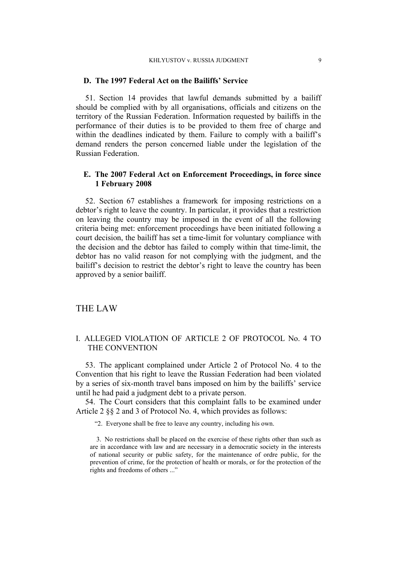## **D. The 1997 Federal Act on the Bailiffs' Service**

51. Section 14 provides that lawful demands submitted by a bailiff should be complied with by all organisations, officials and citizens on the territory of the Russian Federation. Information requested by bailiffs in the performance of their duties is to be provided to them free of charge and within the deadlines indicated by them. Failure to comply with a bailiff's demand renders the person concerned liable under the legislation of the Russian Federation.

## **E. The 2007 Federal Act on Enforcement Proceedings, in force since 1 February 2008**

52. Section 67 establishes a framework for imposing restrictions on a debtor's right to leave the country. In particular, it provides that a restriction on leaving the country may be imposed in the event of all the following criteria being met: enforcement proceedings have been initiated following a court decision, the bailiff has set a time-limit for voluntary compliance with the decision and the debtor has failed to comply within that time-limit, the debtor has no valid reason for not complying with the judgment, and the bailiff's decision to restrict the debtor's right to leave the country has been approved by a senior bailiff.

## THE LAW

## I. ALLEGED VIOLATION OF ARTICLE 2 OF PROTOCOL No. 4 TO THE CONVENTION

53. The applicant complained under Article 2 of Protocol No. 4 to the Convention that his right to leave the Russian Federation had been violated by a series of six-month travel bans imposed on him by the bailiffs' service until he had paid a judgment debt to a private person.

54. The Court considers that this complaint falls to be examined under Article 2 §§ 2 and 3 of Protocol No. 4, which provides as follows:

"2. Everyone shall be free to leave any country, including his own.

3. No restrictions shall be placed on the exercise of these rights other than such as are in accordance with law and are necessary in a democratic society in the interests of national security or public safety, for the maintenance of ordre public, for the prevention of crime, for the protection of health or morals, or for the protection of the rights and freedoms of others ..."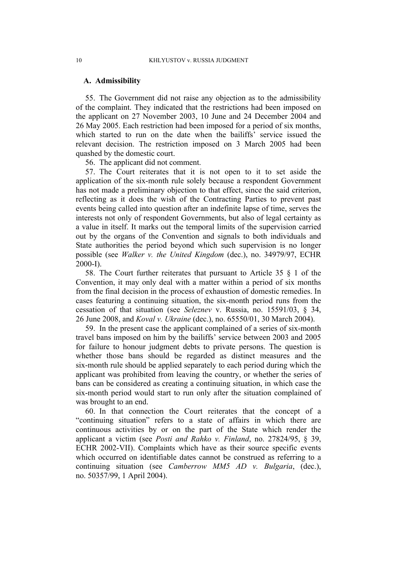#### **A. Admissibility**

55. The Government did not raise any objection as to the admissibility of the complaint. They indicated that the restrictions had been imposed on the applicant on 27 November 2003, 10 June and 24 December 2004 and 26 May 2005. Each restriction had been imposed for a period of six months, which started to run on the date when the bailiffs' service issued the relevant decision. The restriction imposed on 3 March 2005 had been quashed by the domestic court.

56. The applicant did not comment.

57. The Court reiterates that it is not open to it to set aside the application of the six-month rule solely because a respondent Government has not made a preliminary objection to that effect, since the said criterion, reflecting as it does the wish of the Contracting Parties to prevent past events being called into question after an indefinite lapse of time, serves the interests not only of respondent Governments, but also of legal certainty as a value in itself. It marks out the temporal limits of the supervision carried out by the organs of the Convention and signals to both individuals and State authorities the period beyond which such supervision is no longer possible (see *Walker v. the United Kingdom* (dec.), no. 34979/97, ECHR 2000-I).

58. The Court further reiterates that pursuant to Article 35 § 1 of the Convention, it may only deal with a matter within a period of six months from the final decision in the process of exhaustion of domestic remedies. In cases featuring a continuing situation, the six-month period runs from the cessation of that situation (see *Seleznev* v. Russia, no. 15591/03, § 34, 26 June 2008, and *Koval v. Ukraine* (dec.), no. 65550/01, 30 March 2004).

59. In the present case the applicant complained of a series of six-month travel bans imposed on him by the bailiffs' service between 2003 and 2005 for failure to honour judgment debts to private persons. The question is whether those bans should be regarded as distinct measures and the six-month rule should be applied separately to each period during which the applicant was prohibited from leaving the country, or whether the series of bans can be considered as creating a continuing situation, in which case the six-month period would start to run only after the situation complained of was brought to an end.

60. In that connection the Court reiterates that the concept of a "continuing situation" refers to a state of affairs in which there are continuous activities by or on the part of the State which render the applicant a victim (see *Posti and Rahko v. Finland*, no. 27824/95, § 39, ECHR 2002-VII). Complaints which have as their source specific events which occurred on identifiable dates cannot be construed as referring to a continuing situation (see *Camberrow MM5 AD v. Bulgaria*, (dec.), no. 50357/99, 1 April 2004).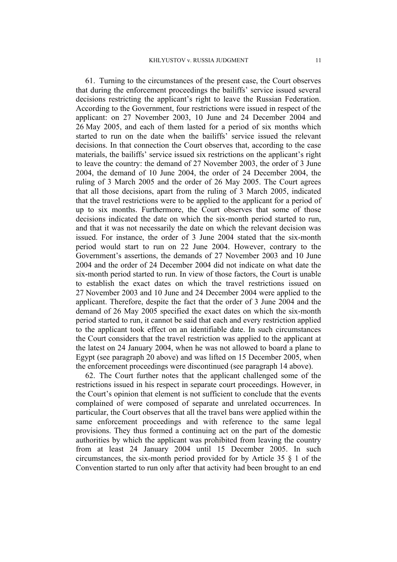61. Turning to the circumstances of the present case, the Court observes that during the enforcement proceedings the bailiffs' service issued several decisions restricting the applicant's right to leave the Russian Federation. According to the Government, four restrictions were issued in respect of the applicant: on 27 November 2003, 10 June and 24 December 2004 and 26 May 2005, and each of them lasted for a period of six months which started to run on the date when the bailiffs' service issued the relevant decisions. In that connection the Court observes that, according to the case materials, the bailiffs' service issued six restrictions on the applicant's right to leave the country: the demand of 27 November 2003, the order of 3 June 2004, the demand of 10 June 2004, the order of 24 December 2004, the ruling of 3 March 2005 and the order of 26 May 2005. The Court agrees that all those decisions, apart from the ruling of 3 March 2005, indicated that the travel restrictions were to be applied to the applicant for a period of up to six months. Furthermore, the Court observes that some of those decisions indicated the date on which the six-month period started to run, and that it was not necessarily the date on which the relevant decision was issued. For instance, the order of 3 June 2004 stated that the six-month period would start to run on 22 June 2004. However, contrary to the Government's assertions, the demands of 27 November 2003 and 10 June 2004 and the order of 24 December 2004 did not indicate on what date the six-month period started to run. In view of those factors, the Court is unable to establish the exact dates on which the travel restrictions issued on 27 November 2003 and 10 June and 24 December 2004 were applied to the applicant. Therefore, despite the fact that the order of 3 June 2004 and the demand of 26 May 2005 specified the exact dates on which the six-month period started to run, it cannot be said that each and every restriction applied to the applicant took effect on an identifiable date. In such circumstances the Court considers that the travel restriction was applied to the applicant at the latest on 24 January 2004, when he was not allowed to board a plane to Egypt (see paragraph [20](#page-4-1) above) and was lifted on 15 December 2005, when the enforcement proceedings were discontinued (see paragraph [14](#page-3-0) above).

62. The Court further notes that the applicant challenged some of the restrictions issued in his respect in separate court proceedings. However, in the Court's opinion that element is not sufficient to conclude that the events complained of were composed of separate and unrelated occurrences. In particular, the Court observes that all the travel bans were applied within the same enforcement proceedings and with reference to the same legal provisions. They thus formed a continuing act on the part of the domestic authorities by which the applicant was prohibited from leaving the country from at least 24 January 2004 until 15 December 2005. In such circumstances, the six-month period provided for by Article 35 § 1 of the Convention started to run only after that activity had been brought to an end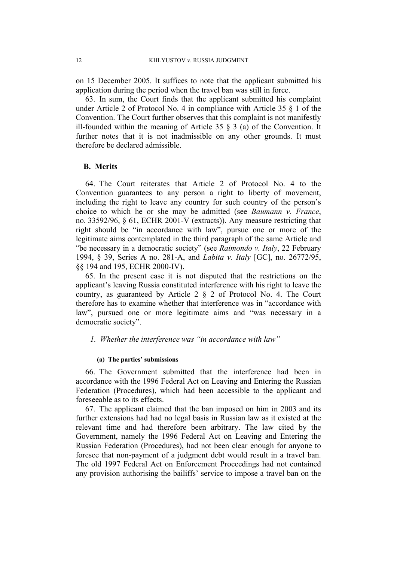on 15 December 2005. It suffices to note that the applicant submitted his application during the period when the travel ban was still in force.

63. In sum, the Court finds that the applicant submitted his complaint under Article 2 of Protocol No. 4 in compliance with Article 35 § 1 of the Convention. The Court further observes that this complaint is not manifestly ill-founded within the meaning of Article 35  $\S$  3 (a) of the Convention. It further notes that it is not inadmissible on any other grounds. It must therefore be declared admissible.

#### **B. Merits**

64. The Court reiterates that Article 2 of Protocol No. 4 to the Convention guarantees to any person a right to liberty of movement, including the right to leave any country for such country of the person's choice to which he or she may be admitted (see *Baumann v. France*, no. 33592/96, § 61, ECHR 2001-V (extracts)). Any measure restricting that right should be "in accordance with law", pursue one or more of the legitimate aims contemplated in the third paragraph of the same Article and "be necessary in a democratic society" (see *Raimondo v. Italy*, 22 February 1994, § 39, Series A no. 281-A, and *Labita v. Italy* [GC], no. 26772/95, §§ 194 and 195, ECHR 2000-IV).

65. In the present case it is not disputed that the restrictions on the applicant's leaving Russia constituted interference with his right to leave the country, as guaranteed by Article 2 § 2 of Protocol No. 4. The Court therefore has to examine whether that interference was in "accordance with law", pursued one or more legitimate aims and "was necessary in a democratic society".

## *1. Whether the interference was "in accordance with law"*

#### **(a) The parties' submissions**

66. The Government submitted that the interference had been in accordance with the 1996 Federal Act on Leaving and Entering the Russian Federation (Procedures), which had been accessible to the applicant and foreseeable as to its effects.

67. The applicant claimed that the ban imposed on him in 2003 and its further extensions had had no legal basis in Russian law as it existed at the relevant time and had therefore been arbitrary. The law cited by the Government, namely the 1996 Federal Act on Leaving and Entering the Russian Federation (Procedures), had not been clear enough for anyone to foresee that non-payment of a judgment debt would result in a travel ban. The old 1997 Federal Act on Enforcement Proceedings had not contained any provision authorising the bailiffs' service to impose a travel ban on the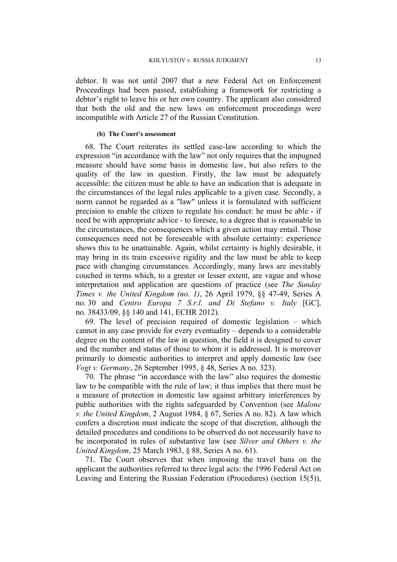debtor. It was not until 2007 that a new Federal Act on Enforcement Proceedings had been passed, establishing a framework for restricting a debtor's right to leave his or her own country. The applicant also considered that both the old and the new laws on enforcement proceedings were incompatible with Article 27 of the Russian Constitution.

#### **(b) The Court's assessment**

68. The Court reiterates its settled case-law according to which the expression "in accordance with the law" not only requires that the impugned measure should have some basis in domestic law, but also refers to the quality of the law in question. Firstly, the law must be adequately accessible: the citizen must be able to have an indication that is adequate in the circumstances of the legal rules applicable to a given case. Secondly, a norm cannot be regarded as a "law" unless it is formulated with sufficient precision to enable the citizen to regulate his conduct: he must be able - if need be with appropriate advice - to foresee, to a degree that is reasonable in the circumstances, the consequences which a given action may entail. Those consequences need not be foreseeable with absolute certainty: experience shows this to be unattainable. Again, whilst certainty is highly desirable, it may bring in its train excessive rigidity and the law must be able to keep pace with changing circumstances. Accordingly, many laws are inevitably couched in terms which, to a greater or lesser extent, are vague and whose interpretation and application are questions of practice (see *The Sunday Times v. the United Kingdom (no. 1)*, 26 April 1979, §§ 47-49, Series A no. 30 and *Centro Europa 7 S.r.l. and Di Stefano v. Italy* [GC], no. 38433/09, §§ 140 and 141, ECHR 2012).

69. The level of precision required of domestic legislation – which cannot in any case provide for every eventuality – depends to a considerable degree on the content of the law in question, the field it is designed to cover and the number and status of those to whom it is addressed. It is moreover primarily to domestic authorities to interpret and apply domestic law (see *Vogt v. Germany*, 26 September 1995, § 48, Series A no. 323).

70. The phrase "in accordance with the law" also requires the domestic law to be compatible with the rule of law; it thus implies that there must be a measure of protection in domestic law against arbitrary interferences by public authorities with the rights safeguarded by Convention (see *Malone v. the United Kingdom*, 2 August 1984, § 67, Series A no. 82). A law which confers a discretion must indicate the scope of that discretion, although the detailed procedures and conditions to be observed do not necessarily have to be incorporated in rules of substantive law (see *Silver and Others v. the United Kingdom*, 25 March 1983, § 88, Series A no. 61).

71. The Court observes that when imposing the travel bans on the applicant the authorities referred to three legal acts: the 1996 Federal Act on Leaving and Entering the Russian Federation (Procedures) (section 15(5)),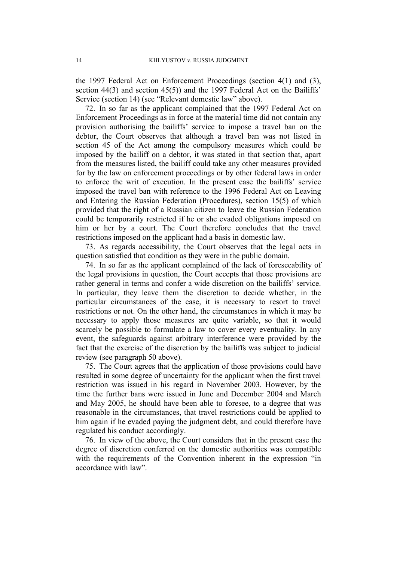the 1997 Federal Act on Enforcement Proceedings (section 4(1) and (3), section 44(3) and section 45(5)) and the 1997 Federal Act on the Bailiffs' Service (section 14) (see "Relevant domestic law" above).

72. In so far as the applicant complained that the 1997 Federal Act on Enforcement Proceedings as in force at the material time did not contain any provision authorising the bailiffs' service to impose a travel ban on the debtor, the Court observes that although a travel ban was not listed in section 45 of the Act among the compulsory measures which could be imposed by the bailiff on a debtor, it was stated in that section that, apart from the measures listed, the bailiff could take any other measures provided for by the law on enforcement proceedings or by other federal laws in order to enforce the writ of execution. In the present case the bailiffs' service imposed the travel ban with reference to the 1996 Federal Act on Leaving and Entering the Russian Federation (Procedures), section 15(5) of which provided that the right of a Russian citizen to leave the Russian Federation could be temporarily restricted if he or she evaded obligations imposed on him or her by a court. The Court therefore concludes that the travel restrictions imposed on the applicant had a basis in domestic law.

73. As regards accessibility, the Court observes that the legal acts in question satisfied that condition as they were in the public domain.

74. In so far as the applicant complained of the lack of foreseeability of the legal provisions in question, the Court accepts that those provisions are rather general in terms and confer a wide discretion on the bailiffs' service. In particular, they leave them the discretion to decide whether, in the particular circumstances of the case, it is necessary to resort to travel restrictions or not. On the other hand, the circumstances in which it may be necessary to apply those measures are quite variable, so that it would scarcely be possible to formulate a law to cover every eventuality. In any event, the safeguards against arbitrary interference were provided by the fact that the exercise of the discretion by the bailiffs was subject to judicial review (see paragraph [50](#page-9-0) above).

75. The Court agrees that the application of those provisions could have resulted in some degree of uncertainty for the applicant when the first travel restriction was issued in his regard in November 2003. However, by the time the further bans were issued in June and December 2004 and March and May 2005, he should have been able to foresee, to a degree that was reasonable in the circumstances, that travel restrictions could be applied to him again if he evaded paying the judgment debt, and could therefore have regulated his conduct accordingly.

76. In view of the above, the Court considers that in the present case the degree of discretion conferred on the domestic authorities was compatible with the requirements of the Convention inherent in the expression "in accordance with law".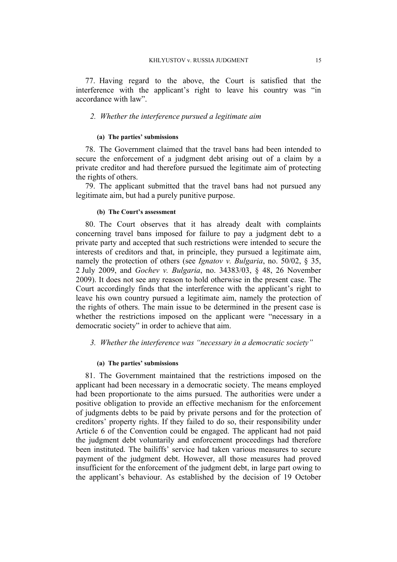77. Having regard to the above, the Court is satisfied that the interference with the applicant's right to leave his country was "in accordance with law".

## *2. Whether the interference pursued a legitimate aim*

#### **(a) The parties' submissions**

78. The Government claimed that the travel bans had been intended to secure the enforcement of a judgment debt arising out of a claim by a private creditor and had therefore pursued the legitimate aim of protecting the rights of others.

79. The applicant submitted that the travel bans had not pursued any legitimate aim, but had a purely punitive purpose.

#### **(b) The Court's assessment**

80. The Court observes that it has already dealt with complaints concerning travel bans imposed for failure to pay a judgment debt to a private party and accepted that such restrictions were intended to secure the interests of creditors and that, in principle, they pursued a legitimate aim, namely the protection of others (see *Ignatov v. Bulgaria*, no. 50/02, § 35, 2 July 2009, and *Gochev v. Bulgaria*, no. 34383/03, § 48, 26 November 2009). It does not see any reason to hold otherwise in the present case. The Court accordingly finds that the interference with the applicant's right to leave his own country pursued a legitimate aim, namely the protection of the rights of others. The main issue to be determined in the present case is whether the restrictions imposed on the applicant were "necessary in a democratic society" in order to achieve that aim.

## *3. Whether the interference was "necessary in a democratic society"*

#### **(a) The parties' submissions**

81. The Government maintained that the restrictions imposed on the applicant had been necessary in a democratic society. The means employed had been proportionate to the aims pursued. The authorities were under a positive obligation to provide an effective mechanism for the enforcement of judgments debts to be paid by private persons and for the protection of creditors' property rights. If they failed to do so, their responsibility under Article 6 of the Convention could be engaged. The applicant had not paid the judgment debt voluntarily and enforcement proceedings had therefore been instituted. The bailiffs' service had taken various measures to secure payment of the judgment debt. However, all those measures had proved insufficient for the enforcement of the judgment debt, in large part owing to the applicant's behaviour. As established by the decision of 19 October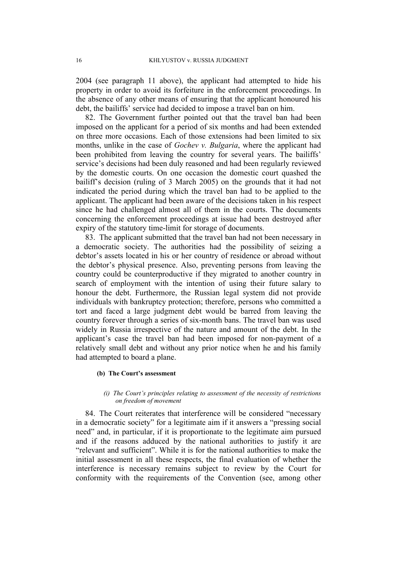2004 (see paragraph [11](#page-3-1) above), the applicant had attempted to hide his property in order to avoid its forfeiture in the enforcement proceedings. In the absence of any other means of ensuring that the applicant honoured his debt, the bailiffs' service had decided to impose a travel ban on him.

82. The Government further pointed out that the travel ban had been imposed on the applicant for a period of six months and had been extended on three more occasions. Each of those extensions had been limited to six months, unlike in the case of *Gochev v. Bulgaria*, where the applicant had been prohibited from leaving the country for several years. The bailiffs' service's decisions had been duly reasoned and had been regularly reviewed by the domestic courts. On one occasion the domestic court quashed the bailiff's decision (ruling of 3 March 2005) on the grounds that it had not indicated the period during which the travel ban had to be applied to the applicant. The applicant had been aware of the decisions taken in his respect since he had challenged almost all of them in the courts. The documents concerning the enforcement proceedings at issue had been destroyed after expiry of the statutory time-limit for storage of documents.

83. The applicant submitted that the travel ban had not been necessary in a democratic society. The authorities had the possibility of seizing a debtor's assets located in his or her country of residence or abroad without the debtor's physical presence. Also, preventing persons from leaving the country could be counterproductive if they migrated to another country in search of employment with the intention of using their future salary to honour the debt. Furthermore, the Russian legal system did not provide individuals with bankruptcy protection; therefore, persons who committed a tort and faced a large judgment debt would be barred from leaving the country forever through a series of six-month bans. The travel ban was used widely in Russia irrespective of the nature and amount of the debt. In the applicant's case the travel ban had been imposed for non-payment of a relatively small debt and without any prior notice when he and his family had attempted to board a plane.

## **(b) The Court's assessment**

#### *(i) The Court's principles relating to assessment of the necessity of restrictions on freedom of movement*

84. The Court reiterates that interference will be considered "necessary in a democratic society" for a legitimate aim if it answers a "pressing social need" and, in particular, if it is proportionate to the legitimate aim pursued and if the reasons adduced by the national authorities to justify it are "relevant and sufficient". While it is for the national authorities to make the initial assessment in all these respects, the final evaluation of whether the interference is necessary remains subject to review by the Court for conformity with the requirements of the Convention (see, among other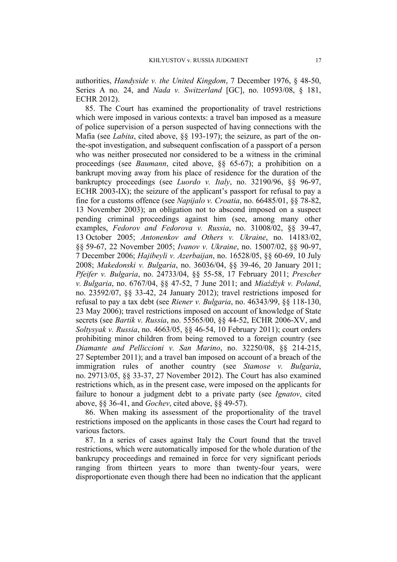authorities, *Handyside v. the United Kingdom*, 7 December 1976, § 48-50, Series A no. 24, and *Nada v. Switzerland* [GC], no. 10593/08, § 181, ECHR 2012).

85. The Court has examined the proportionality of travel restrictions which were imposed in various contexts: a travel ban imposed as a measure of police supervision of a person suspected of having connections with the Mafia (see *Labita*, cited above, §§ 193-197); the seizure, as part of the onthe-spot investigation, and subsequent confiscation of a passport of a person who was neither prosecuted nor considered to be a witness in the criminal proceedings (see *Baumann*, cited above, §§ 65-67); a prohibition on a bankrupt moving away from his place of residence for the duration of the bankruptcy proceedings (see *Luordo v. Italy*, no. 32190/96, §§ 96-97, ECHR 2003-IX); the seizure of the applicant's passport for refusal to pay a fine for a customs offence (see *Napijalo v. Croatia*, no. 66485/01, §§ 78-82, 13 November 2003); an obligation not to abscond imposed on a suspect pending criminal proceedings against him (see, among many other examples, *Fedorov and Fedorova v. Russia*, no. 31008/02, §§ 39-47, 13 October 2005; *Antonenkov and Others v. Ukraine*, no. 14183/02, §§ 59-67, 22 November 2005; *Ivanov v. Ukraine*, no. 15007/02, §§ 90-97, 7 December 2006; *Hajibeyli v. Azerbaijan*, no. 16528/05, §§ 60-69, 10 July 2008; *Makedonski v. Bulgaria*, no. 36036/04, §§ 39-46, 20 January 2011; *Pfeifer v. Bulgaria*, no. 24733/04, §§ 55-58, 17 February 2011; *Prescher v. Bulgaria*, no. 6767/04, §§ 47-52, 7 June 2011; and *Miażdżyk v. Poland*, no. 23592/07, §§ 33-42, 24 January 2012); travel restrictions imposed for refusal to pay a tax debt (see *Riener v. Bulgaria*, no. 46343/99, §§ 118-130, 23 May 2006); travel restrictions imposed on account of knowledge of State secrets (see *Bartik v. Russia*, no. 55565/00, §§ 44-52, ECHR 2006-XV, and *Soltysyak v. Russia*, no. 4663/05, §§ 46-54, 10 February 2011); court orders prohibiting minor children from being removed to a foreign country (see *Diamante and Pelliccioni v. San Marino*, no. 32250/08, §§ 214-215, 27 September 2011); and a travel ban imposed on account of a breach of the immigration rules of another country (see *Stamose v. Bulgaria*, no. 29713/05, §§ 33-37, 27 November 2012). The Court has also examined restrictions which, as in the present case, were imposed on the applicants for failure to honour a judgment debt to a private party (see *Ignatov*, cited above, §§ 36-41, and *Gochev*, cited above, §§ 49-57).

86. When making its assessment of the proportionality of the travel restrictions imposed on the applicants in those cases the Court had regard to various factors.

87. In a series of cases against Italy the Court found that the travel restrictions, which were automatically imposed for the whole duration of the bankrupcy proceedings and remained in force for very significant periods ranging from thirteen years to more than twenty-four years, were disproportionate even though there had been no indication that the applicant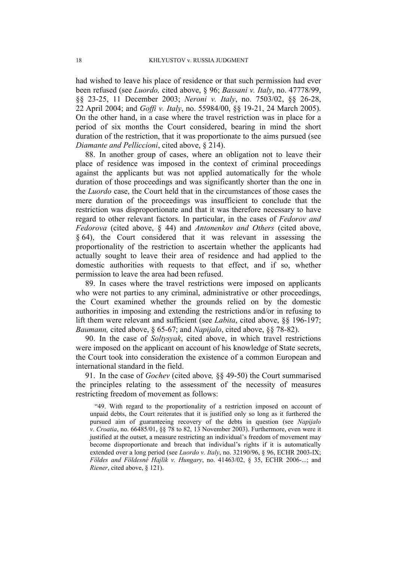had wished to leave his place of residence or that such permission had ever been refused (see *Luordo,* cited above, § 96; *Bassani v. Italy*, no. 47778/99, §§ 23-25, 11 December 2003; *Neroni v. Italy*, no. 7503/02, §§ 26-28, 22 April 2004; and *Goffi v. Italy*, no. 55984/00, §§ 19-21, 24 March 2005). On the other hand, in a case where the travel restriction was in place for a period of six months the Court considered, bearing in mind the short duration of the restriction, that it was proportionate to the aims pursued (see *Diamante and Pelliccioni*, cited above, § 214).

88. In another group of cases, where an obligation not to leave their place of residence was imposed in the context of criminal proceedings against the applicants but was not applied automatically for the whole duration of those proceedings and was significantly shorter than the one in the *Luordo* case, the Court held that in the circumstances of those cases the mere duration of the proceedings was insufficient to conclude that the restriction was disproportionate and that it was therefore necessary to have regard to other relevant factors. In particular, in the cases of *Fedorov and Fedorova* (cited above, § 44) and *Antonenkov and Others* (cited above, § 64), the Court considered that it was relevant in assessing the proportionality of the restriction to ascertain whether the applicants had actually sought to leave their area of residence and had applied to the domestic authorities with requests to that effect, and if so, whether permission to leave the area had been refused.

89. In cases where the travel restrictions were imposed on applicants who were not parties to any criminal, administrative or other proceedings, the Court examined whether the grounds relied on by the domestic authorities in imposing and extending the restrictions and/or in refusing to lift them were relevant and sufficient (see *Labita*, cited above, §§ 196-197; *Baumann,* cited above, § 65-67; and *Napijalo*, cited above, §§ 78-82).

90. In the case of *Soltysyak*, cited above, in which travel restrictions were imposed on the applicant on account of his knowledge of State secrets, the Court took into consideration the existence of a common European and international standard in the field.

91. In the case of *Gochev* (cited above*,* §§ 49-50) the Court summarised the principles relating to the assessment of the necessity of measures restricting freedom of movement as follows:

"49. With regard to the proportionality of a restriction imposed on account of unpaid debts, the Court reiterates that it is justified only so long as it furthered the pursued aim of guaranteeing recovery of the debts in question (see *Napijalo v. Croatia*, no. 66485/01, §§ 78 to 82, 13 November 2003). Furthermore, even were it justified at the outset, a measure restricting an individual's freedom of movement may become disproportionate and breach that individual's rights if it is automatically extended over a long period (see *Luordo v. Italy*, no. 32190/96, § 96, ECHR 2003-IX; *Földes and Földesné Hajlik v. Hungary*, no. 41463/02, § 35, ECHR 2006-...; and *Riener*, cited above, § 121).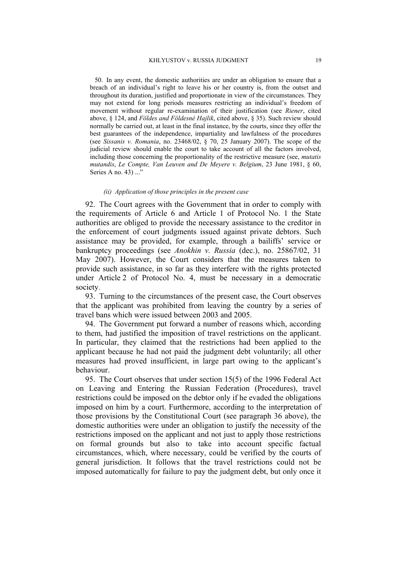50. In any event, the domestic authorities are under an obligation to ensure that a breach of an individual's right to leave his or her country is, from the outset and throughout its duration, justified and proportionate in view of the circumstances. They may not extend for long periods measures restricting an individual's freedom of movement without regular re-examination of their justification (see *Riener*, cited above, § 124, and *Földes and Földesné Hajlik*, cited above, § 35). Such review should normally be carried out, at least in the final instance, by the courts, since they offer the best guarantees of the independence, impartiality and lawfulness of the procedures (see *Sissanis v. Romania*, no. 23468/02, § 70, 25 January 2007). The scope of the judicial review should enable the court to take account of all the factors involved, including those concerning the proportionality of the restrictive measure (see, *mutatis mutandis*, *Le Compte, Van Leuven and De Meyere v. Belgium*, 23 June 1981, § 60, Series A no. 43) ..."

#### *(ii) Application of those principles in the present case*

92. The Court agrees with the Government that in order to comply with the requirements of Article 6 and Article 1 of Protocol No. 1 the State authorities are obliged to provide the necessary assistance to the creditor in the enforcement of court judgments issued against private debtors. Such assistance may be provided, for example, through a bailiffs' service or bankruptcy proceedings (see *Anokhin v. Russia* (dec.), no. 25867/02, 31 May 2007). However, the Court considers that the measures taken to provide such assistance, in so far as they interfere with the rights protected under Article 2 of Protocol No. 4, must be necessary in a democratic society.

93. Turning to the circumstances of the present case, the Court observes that the applicant was prohibited from leaving the country by a series of travel bans which were issued between 2003 and 2005.

94. The Government put forward a number of reasons which, according to them, had justified the imposition of travel restrictions on the applicant. In particular, they claimed that the restrictions had been applied to the applicant because he had not paid the judgment debt voluntarily; all other measures had proved insufficient, in large part owing to the applicant's behaviour.

95. The Court observes that under section 15(5) of the 1996 Federal Act on Leaving and Entering the Russian Federation (Procedures), travel restrictions could be imposed on the debtor only if he evaded the obligations imposed on him by a court. Furthermore, according to the interpretation of those provisions by the Constitutional Court (see paragraph [36](#page-7-0) above), the domestic authorities were under an obligation to justify the necessity of the restrictions imposed on the applicant and not just to apply those restrictions on formal grounds but also to take into account specific factual circumstances, which, where necessary, could be verified by the courts of general jurisdiction. It follows that the travel restrictions could not be imposed automatically for failure to pay the judgment debt, but only once it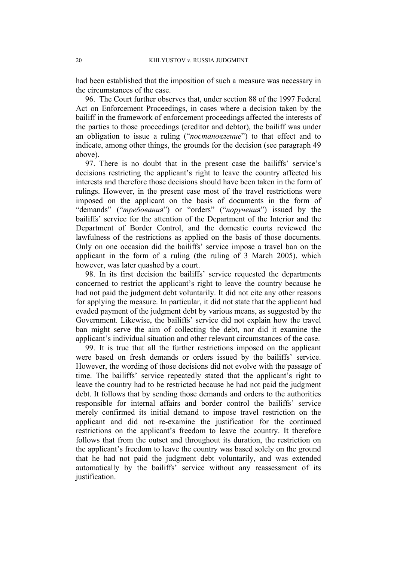had been established that the imposition of such a measure was necessary in the circumstances of the case.

96. The Court further observes that, under section 88 of the 1997 Federal Act on Enforcement Proceedings, in cases where a decision taken by the bailiff in the framework of enforcement proceedings affected the interests of the parties to those proceedings (creditor and debtor), the bailiff was under an obligation to issue a ruling ("*постановление*") to that effect and to indicate, among other things, the grounds for the decision (see paragraph [49](#page-9-1) above).

97. There is no doubt that in the present case the bailiffs' service's decisions restricting the applicant's right to leave the country affected his interests and therefore those decisions should have been taken in the form of rulings. However, in the present case most of the travel restrictions were imposed on the applicant on the basis of documents in the form of "demands" ("*требования*") or "orders" ("*поручения*") issued by the bailiffs' service for the attention of the Department of the Interior and the Department of Border Control, and the domestic courts reviewed the lawfulness of the restrictions as applied on the basis of those documents. Only on one occasion did the bailiffs' service impose a travel ban on the applicant in the form of a ruling (the ruling of 3 March 2005), which however, was later quashed by a court.

98. In its first decision the bailiffs' service requested the departments concerned to restrict the applicant's right to leave the country because he had not paid the judgment debt voluntarily. It did not cite any other reasons for applying the measure. In particular, it did not state that the applicant had evaded payment of the judgment debt by various means, as suggested by the Government. Likewise, the bailiffs' service did not explain how the travel ban might serve the aim of collecting the debt, nor did it examine the applicant's individual situation and other relevant circumstances of the case.

99. It is true that all the further restrictions imposed on the applicant were based on fresh demands or orders issued by the bailiffs' service. However, the wording of those decisions did not evolve with the passage of time. The bailiffs' service repeatedly stated that the applicant's right to leave the country had to be restricted because he had not paid the judgment debt. It follows that by sending those demands and orders to the authorities responsible for internal affairs and border control the bailiffs' service merely confirmed its initial demand to impose travel restriction on the applicant and did not re-examine the justification for the continued restrictions on the applicant's freedom to leave the country. It therefore follows that from the outset and throughout its duration, the restriction on the applicant's freedom to leave the country was based solely on the ground that he had not paid the judgment debt voluntarily, and was extended automatically by the bailiffs' service without any reassessment of its justification.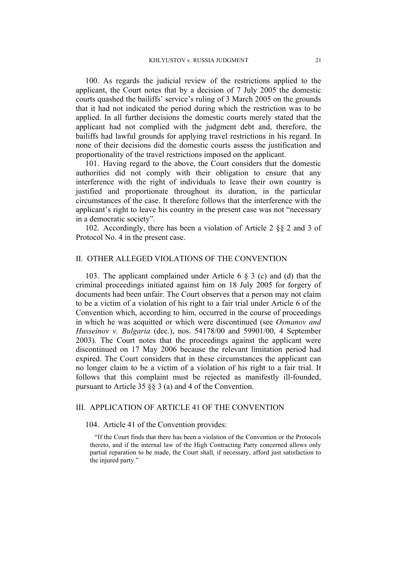100. As regards the judicial review of the restrictions applied to the applicant, the Court notes that by a decision of 7 July 2005 the domestic courts quashed the bailiffs' service's ruling of 3 March 2005 on the grounds that it had not indicated the period during which the restriction was to be applied. In all further decisions the domestic courts merely stated that the applicant had not complied with the judgment debt and, therefore, the bailiffs had lawful grounds for applying travel restrictions in his regard. In none of their decisions did the domestic courts assess the justification and proportionality of the travel restrictions imposed on the applicant.

101. Having regard to the above, the Court considers that the domestic authorities did not comply with their obligation to ensure that any interference with the right of individuals to leave their own country is justified and proportionate throughout its duration, in the particular circumstances of the case. It therefore follows that the interference with the applicant's right to leave his country in the present case was not "necessary in a democratic society".

102. Accordingly, there has been a violation of Article 2 §§ 2 and 3 of Protocol No. 4 in the present case.

## II. OTHER ALLEGED VIOLATIONS OF THE CONVENTION

103. The applicant complained under Article 6 § 3 (c) and (d) that the criminal proceedings initiated against him on 18 July 2005 for forgery of documents had been unfair. The Court observes that a person may not claim to be a victim of a violation of his right to a fair trial under Article 6 of the Convention which, according to him, occurred in the course of proceedings in which he was acquitted or which were discontinued (see *Osmanov and Husseinov v. Bulgaria* (dec.), nos. 54178/00 and 59901/00, 4 September 2003). The Court notes that the proceedings against the applicant were discontinued on 17 May 2006 because the relevant limitation period had expired. The Court considers that in these circumstances the applicant can no longer claim to be a victim of a violation of his right to a fair trial. It follows that this complaint must be rejected as manifestly ill-founded, pursuant to Article 35 §§ 3 (a) and 4 of the Convention.

## III. APPLICATION OF ARTICLE 41 OF THE CONVENTION

#### 104. Article 41 of the Convention provides:

"If the Court finds that there has been a violation of the Convention or the Protocols thereto, and if the internal law of the High Contracting Party concerned allows only partial reparation to be made, the Court shall, if necessary, afford just satisfaction to the injured party."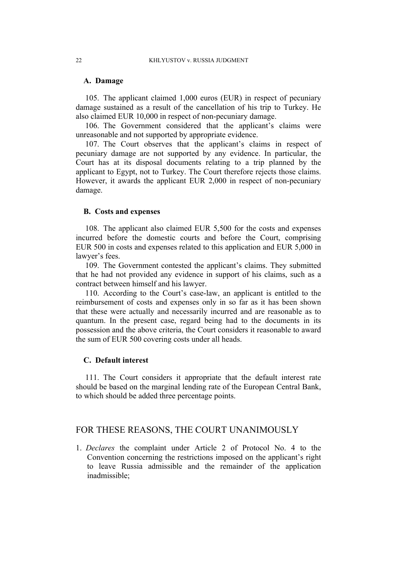## **A. Damage**

105. The applicant claimed 1,000 euros (EUR) in respect of pecuniary damage sustained as a result of the cancellation of his trip to Turkey. He also claimed EUR 10,000 in respect of non-pecuniary damage.

106. The Government considered that the applicant's claims were unreasonable and not supported by appropriate evidence.

107. The Court observes that the applicant's claims in respect of pecuniary damage are not supported by any evidence. In particular, the Court has at its disposal documents relating to a trip planned by the applicant to Egypt, not to Turkey. The Court therefore rejects those claims. However, it awards the applicant EUR 2,000 in respect of non-pecuniary damage.

## **B. Costs and expenses**

108. The applicant also claimed EUR 5,500 for the costs and expenses incurred before the domestic courts and before the Court, comprising EUR 500 in costs and expenses related to this application and EUR 5,000 in lawyer's fees.

109. The Government contested the applicant's claims. They submitted that he had not provided any evidence in support of his claims, such as a contract between himself and his lawyer.

110. According to the Court's case-law, an applicant is entitled to the reimbursement of costs and expenses only in so far as it has been shown that these were actually and necessarily incurred and are reasonable as to quantum. In the present case, regard being had to the documents in its possession and the above criteria, the Court considers it reasonable to award the sum of EUR 500 covering costs under all heads.

## **C. Default interest**

111. The Court considers it appropriate that the default interest rate should be based on the marginal lending rate of the European Central Bank, to which should be added three percentage points.

## FOR THESE REASONS, THE COURT UNANIMOUSLY

1. *Declares* the complaint under Article 2 of Protocol No. 4 to the Convention concerning the restrictions imposed on the applicant's right to leave Russia admissible and the remainder of the application inadmissible;